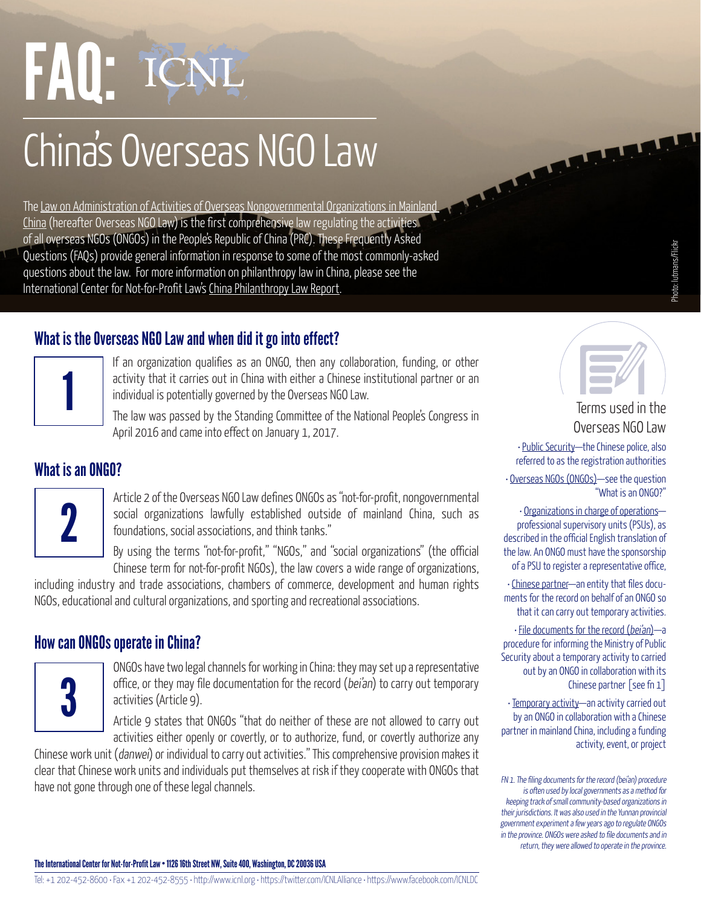hoto: lutmans/Flickr Photo: lutmans/Flickr

# FAQ:

# China's Overseas NGO Law

The [Law on Administration of Activities of Overseas Nongovernmental Organizations in Mainland](http://www.mps.gov.cn/n2254314/n2254409/n4904353/c5548987/content.html)  [China](http://www.mps.gov.cn/n2254314/n2254409/n4904353/c5548987/content.html) (hereafter Overseas NGO Law) is the first comprehensive law regulating the activities of all overseas NGOs (ONGOs) in the People's Republic of China (PRC). These Frequently Asked Questions (FAQs) provide general information in response to some of the most commonly-asked questions about the law. For more information on philanthropy law in China, please see the International Center for Not-for-Profit Law's [China Philanthropy Law Report.](http://www.icnl.org/research/philanthropy/china.html)

# What is the Overseas NGO Law and when did it go into effect?



If an organization qualifies as an ONGO, then any collaboration, funding, or other activity that it carries out in China with either a Chinese institutional partner or an individual is potentially governed by the Overseas NGO Law.

The law was passed by the Standing Committee of the National People's Congress in April 2016 and came into effect on January 1, 2017.

# What is an ONGO?



Article 2 of the Overseas NGO Law defines ONGOs as "not-for-profit, nongovernmental social organizations lawfully established outside of mainland China, such as foundations, social associations, and think tanks."

By using the terms "not-for-profit," "NGOs," and "social organizations" (the official Chinese term for not-for-profit NGOs), the law covers a wide range of organizations,

including industry and trade associations, chambers of commerce, development and human rights NGOs, educational and cultural organizations, and sporting and recreational associations.

## How can ONGOs operate in China?



ONGOs have two legal channels for working in China: they may set up a representative office, or they may file documentation for the record (bei'an) to carry out temporary activities (Article 9).

Article 9 states that ONGOs "that do neither of these are not allowed to carry out activities either openly or covertly, or to authorize, fund, or covertly authorize any

Chinese work unit (danwei) or individual to carry out activities." This comprehensive provision makes it clear that Chinese work units and individuals put themselves at risk if they cooperate with ONGOs that have not gone through one of these legal channels.

# Terms used in the

# Overseas NGO Law

• Public Security—the Chinese police, also referred to as the registration authorities

• Overseas NGOs (ONGOs)—see the question "What is an ONGO?"

• Organizations in charge of operations professional supervisory units (PSUs), as described in the official English translation of the law. An ONGO must have the sponsorship of a PSU to register a representative office,

• Chinese partner—an entity that files documents for the record on behalf of an ONGO so that it can carry out temporary activities.

• File documents for the record (bei'an)—a procedure for informing the Ministry of Public Security about a temporary activity to carried out by an ONGO in collaboration with its Chinese partner [see fn 1]

• Temporary activity—an activity carried out by an ONGO in collaboration with a Chinese partner in mainland China, including a funding activity, event, or project

FN 1. The filing documents for the record (bei'an) procedure is often used by local governments as a method for keeping track of small community-based organizations in their jurisdictions. It was also used in the Yunnan provincial government experiment a few years ago to regulate ONGOs in the province. ONGOs were asked to file documents and in return, they were allowed to operate in the province.

The International Center for Not-for-Profit Law • 1126 16th Street NW, Suite 400, Washington, DC 20036 USA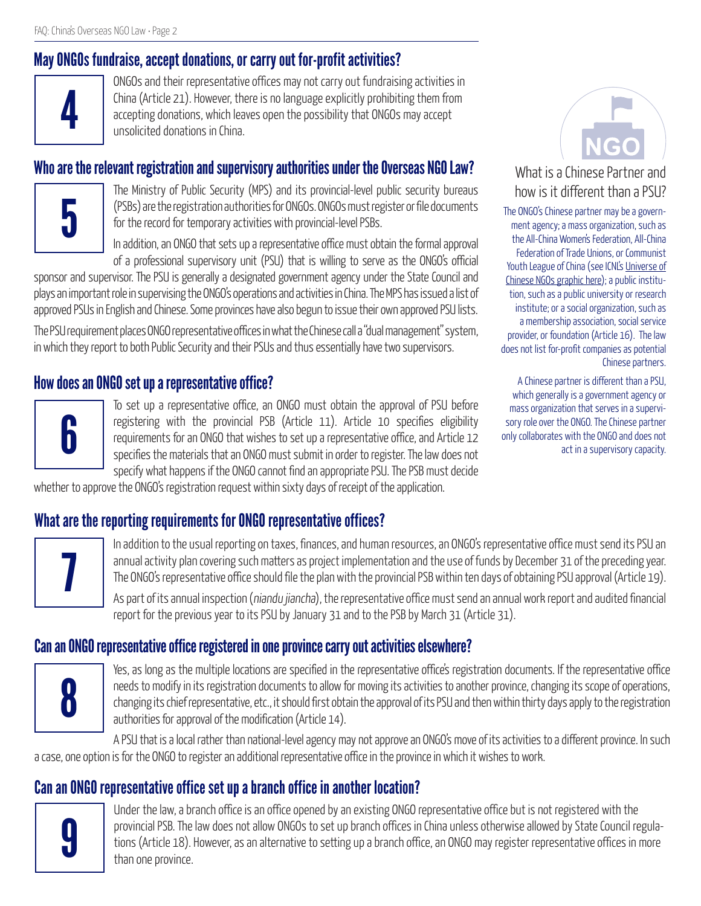# May ONGOs fundraise, accept donations, or carry out for-profit activities?



ONGOs and their representative offices may not carry out fundraising activities in China (Article 21). However, there is no language explicitly prohibiting them from accepting donations, which leaves open the possibility that ONGOs may accept unsolicited donations in China.

#### Who are the relevant registration and supervisory authorities under the Overseas NGO Law?



The Ministry of Public Security (MPS) and its provincial-level public security bureaus (PSBs) are the registration authorities for ONGOs. ONGOs must register or file documents for the record for temporary activities with provincial-level PSBs.

In addition, an ONGO that sets up a representative office must obtain the formal approval of a professional supervisory unit (PSU) that is willing to serve as the ONGO's official

sponsor and supervisor. The PSU is generally a designated government agency under the State Council and plays an important role in supervising the ONGO's operations and activities in China. The MPS has issued a list of approved PSUs in English and Chinese. Some provinces have also begun to issue their own approved PSU lists.

The PSU requirement places ONGO representative offices in what the Chinese call a "dual management" system, in which they report to both Public Security and their PSUs and thus essentially have two supervisors.

#### How does an ONGO set up a representative office?



To set up a representative office, an ONGO must obtain the approval of PSU before registering with the provincial PSB (Article 11). Article 10 specifies eligibility requirements for an ONGO that wishes to set up a representative office, and Article 12 specifies the materials that an ONGO must submit in order to register. The law does not specify what happens if the ONGO cannot find an appropriate PSU. The PSB must decide

whether to approve the ONGO's registration request within sixty days of receipt of the application.



#### What is a Chinese Partner and how is it different than a PSU?

The ONGO's Chinese partner may be a government agency; a mass organization, such as the All-China Women's Federation, All-China Federation of Trade Unions, or Communist Youth League of China (see ICNL's Universe of [Chinese NGOs graphic here](http://www.icnl.org/research/philanthropy/china.html)); a public institution, such as a public university or research institute; or a social organization, such as a membership association, social service provider, or foundation (Article 16). The law does not list for-profit companies as potential Chinese partners.

A Chinese partner is different than a PSU, which generally is a government agency or mass organization that serves in a supervisory role over the ONGO. The Chinese partner only collaborates with the ONGO and does not act in a supervisory capacity.

# What are the reporting requirements for ONGO representative offices?



In addition to the usual reporting on taxes, finances, and human resources, an ONGO's representative office must send its PSU an annual activity plan covering such matters as project implementation and the use of funds by December 31 of the preceding year. The ONGO's representative office should file the plan with the provincial PSB within ten days of obtaining PSU approval (Article 19).

As part of its annual inspection (niandu jiancha), the representative office must send an annual work report and audited financial report for the previous year to its PSU by January 31 and to the PSB by March 31 (Article 31).

#### Can an ONGO representative office registered in one province carry out activities elsewhere?



Yes, as long as the multiple locations are specified in the representative office's registration documents. If the representative office needs to modify in its registration documents to allow for moving its activities to another province, changing its scope of operations, changing its chief representative, etc., it should first obtain the approval of its PSU and then within thirty days apply to the registration authorities for approval of the modification (Article 14).

A PSU that is a local rather than national-level agency may not approve an ONGO's move of its activities to a different province. In such a case, one option is for the ONGO to register an additional representative office in the province in which it wishes to work.

# Can an ONGO representative office set up a branch office in another location?



Under the law, a branch office is an office opened by an existing ONGO representative office but is not registered with the provincial PSB. The law does not allow ONGOs to set up branch offices in China unless otherwise allowed by State Council regulations (Article 18). However, as an alternative to setting up a branch office, an ONGO may register representative offices in more than one province.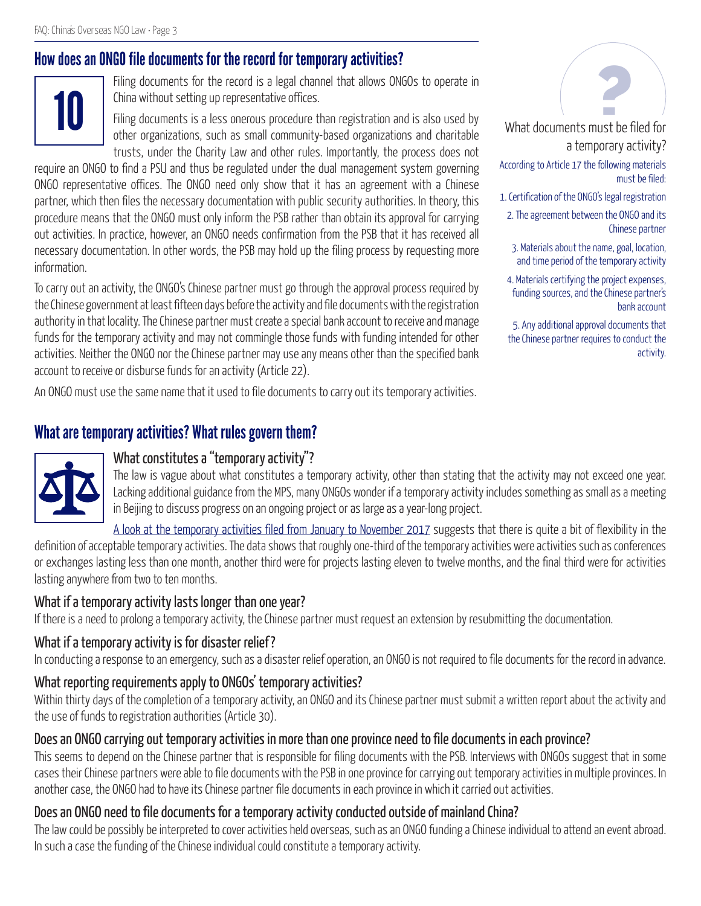## How does an ONGO file documents for the record for temporary activities?



and the autuments for the record is a legal channel that allows ONGOs to operate in<br>China without setting up representative offices.<br>Filing documents is a less onerous procedure than registration and is also used by<br>Ather China without setting up representative offices.

Filing documents is a less onerous procedure than registration and is also used by other organizations, such as small community-based organizations and charitable trusts, under the Charity Law and other rules. Importantly, the process does not

require an ONGO to find a PSU and thus be regulated under the dual management system governing ONGO representative offices. The ONGO need only show that it has an agreement with a Chinese partner, which then files the necessary documentation with public security authorities. In theory, this procedure means that the ONGO must only inform the PSB rather than obtain its approval for carrying out activities. In practice, however, an ONGO needs confirmation from the PSB that it has received all necessary documentation. In other words, the PSB may hold up the filing process by requesting more information.

To carry out an activity, the ONGO's Chinese partner must go through the approval process required by the Chinese government at least fifteen days before the activity and file documents with the registration authority in that locality. The Chinese partner must create a special bank account to receive and manage funds for the temporary activity and may not commingle those funds with funding intended for other activities. Neither the ONGO nor the Chinese partner may use any means other than the specified bank account to receive or disburse funds for an activity (Article 22).

An ONGO must use the same name that it used to file documents to carry out its temporary activities.

#### What are temporary activities? What rules govern them?

#### What constitutes a "temporary activity"?

The law is vague about what constitutes a temporary activity, other than stating that the activity may not exceed one year. Lacking additional guidance from the MPS, many ONGOs wonder if a temporary activity includes something as small as a meeting in Beijing to discuss progress on an ongoing project or as large as a year-long project.

[A look at the temporary activities filed from January to November 2017](http://www.chinafile.com/ngo/analysis/visually-understanding-data-foreign-ngo-representative-offices-and-temporary-activities) suggests that there is quite a bit of flexibility in the definition of acceptable temporary activities. The data shows that roughly one-third of the temporary activities were activities such as conferences or exchanges lasting less than one month, another third were for projects lasting eleven to twelve months, and the final third were for activities lasting anywhere from two to ten months.

#### What if a temporary activity lasts longer than one year?

If there is a need to prolong a temporary activity, the Chinese partner must request an extension by resubmitting the documentation.

#### What if a temporary activity is for disaster relief?

In conducting a response to an emergency, such as a disaster relief operation, an ONGO is not required to file documents for the record in advance.

#### What reporting requirements apply to ONGOs' temporary activities?

Within thirty days of the completion of a temporary activity, an ONGO and its Chinese partner must submit a written report about the activity and the use of funds to registration authorities (Article 30).

#### Does an ONGO carrying out temporary activities in more than one province need to file documents in each province?

This seems to depend on the Chinese partner that is responsible for filing documents with the PSB. Interviews with ONGOs suggest that in some cases their Chinese partners were able to file documents with the PSB in one province for carrying out temporary activities in multiple provinces. In another case, the ONGO had to have its Chinese partner file documents in each province in which it carried out activities.

#### Does an ONGO need to file documents for a temporary activity conducted outside of mainland China?

The law could be possibly be interpreted to cover activities held overseas, such as an ONGO funding a Chinese individual to attend an event abroad. In such a case the funding of the Chinese individual could constitute a temporary activity.



What documents must be filed for a temporary activity?

According to Article 17 the following materials must be filed:

- 1. Certification of the ONGO's legal registration
- 2. The agreement between the ONGO and its Chinese partner
- 3. Materials about the name, goal, location, and time period of the temporary activity
- 4. Materials certifying the project expenses, funding sources, and the Chinese partner's bank account

5. Any additional approval documents that the Chinese partner requires to conduct the activity.